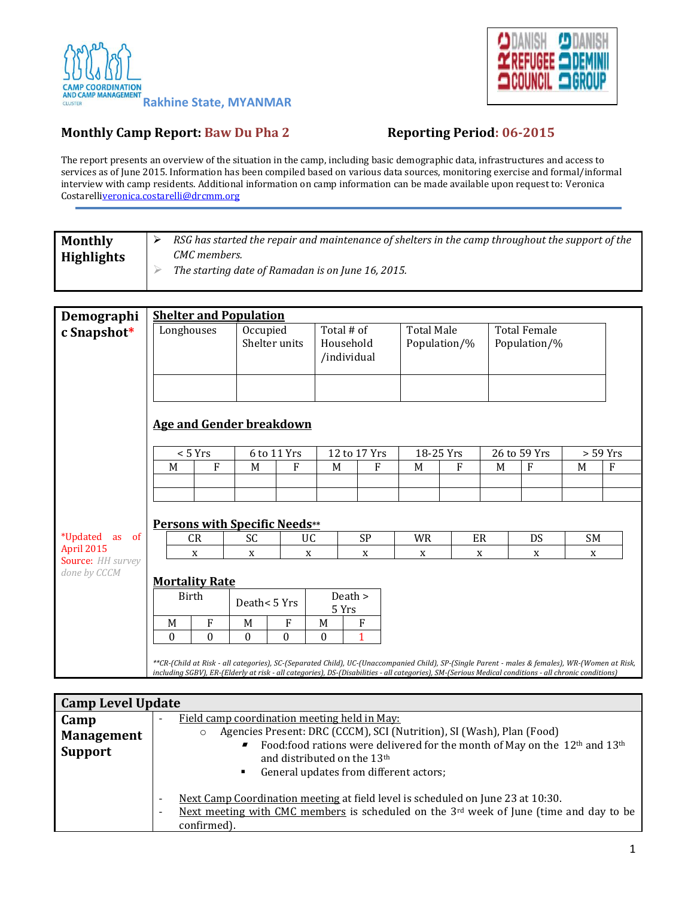



## **Monthly Camp Report: Baw Du Pha 2 Reporting Period: 06-2015**

The report presents an overview of the situation in the camp, including basic demographic data, infrastructures and access to services as of June 2015. Information has been compiled based on various data sources, monitoring exercise and formal/informal interview with camp residents. Additional information on camp information can be made available upon request to: Veronica Costarell[iveronica.costarelli@drcmm.org](mailto:veronica.costarelli@drcmm.org)

| <b>Monthly</b>    | RSG has started the repair and maintenance of shelters in the camp throughout the support of the |
|-------------------|--------------------------------------------------------------------------------------------------|
| <b>Highlights</b> | CMC members.                                                                                     |
|                   | The starting date of Ramadan is on June 16, 2015.                                                |
|                   |                                                                                                  |

| Demographi                              | <b>Shelter and Population</b>                                                                                                                                                                                                                                                                           |              |                           |          |                  |                                        |              |                                   |           |   |                                     |    |   |  |
|-----------------------------------------|---------------------------------------------------------------------------------------------------------------------------------------------------------------------------------------------------------------------------------------------------------------------------------------------------------|--------------|---------------------------|----------|------------------|----------------------------------------|--------------|-----------------------------------|-----------|---|-------------------------------------|----|---|--|
| c Snapshot*                             | Longhouses                                                                                                                                                                                                                                                                                              |              | Occupied<br>Shelter units |          |                  | Total # of<br>Household<br>/individual |              | <b>Total Male</b><br>Population/% |           |   | <b>Total Female</b><br>Population/% |    |   |  |
|                                         | <b>Age and Gender breakdown</b><br>< 5 Yrs<br>6 to 11 Yrs<br>12 to 17 Yrs<br>18-25 Yrs<br>26 to 59 Yrs<br>$>$ 59 Yrs                                                                                                                                                                                    |              |                           |          |                  |                                        |              |                                   |           |   |                                     |    |   |  |
|                                         | M                                                                                                                                                                                                                                                                                                       | ${\bf F}$    | M                         | F        | M                |                                        | F            | M                                 | ${\bf F}$ | M | F                                   | M  | F |  |
|                                         |                                                                                                                                                                                                                                                                                                         |              |                           |          |                  |                                        |              |                                   |           |   |                                     |    |   |  |
|                                         |                                                                                                                                                                                                                                                                                                         |              |                           |          |                  |                                        |              |                                   |           |   |                                     |    |   |  |
|                                         | <b>Persons with Specific Needs**</b><br>ER<br>SC                                                                                                                                                                                                                                                        |              |                           |          |                  |                                        |              |                                   |           |   |                                     |    |   |  |
| <i>*</i> Updated<br>as of<br>April 2015 |                                                                                                                                                                                                                                                                                                         | <b>CR</b>    |                           |          | UC               | <b>SP</b>                              |              | <b>WR</b>                         |           |   | DS                                  | SM |   |  |
| <b>Source: HH survey</b>                |                                                                                                                                                                                                                                                                                                         | X            | X                         |          | X                | $\mathbf X$                            |              | X<br>X                            |           |   | X                                   |    | X |  |
| done by CCCM                            | <b>Mortality Rate</b>                                                                                                                                                                                                                                                                                   |              |                           |          |                  |                                        |              |                                   |           |   |                                     |    |   |  |
|                                         |                                                                                                                                                                                                                                                                                                         | Birth        | Death < 5 Yrs             |          |                  | Death ><br>5 Yrs                       |              |                                   |           |   |                                     |    |   |  |
|                                         | M                                                                                                                                                                                                                                                                                                       | F            | M                         | F        | M                |                                        | F            |                                   |           |   |                                     |    |   |  |
|                                         | $\theta$                                                                                                                                                                                                                                                                                                | $\mathbf{0}$ | $\mathbf{0}$              | $\theta$ | $\boldsymbol{0}$ |                                        | $\mathbf{1}$ |                                   |           |   |                                     |    |   |  |
|                                         | **CR-(Child at Risk - all categories), SC-(Separated Child), UC-(Unaccompanied Child), SP-(Single Parent - males & females), WR-(Women at Risk,<br>including SGBV), ER-(Elderly at risk - all categories), DS-(Disabilities - all categories), SM-(Serious Medical conditions - all chronic conditions) |              |                           |          |                  |                                        |              |                                   |           |   |                                     |    |   |  |

| <b>Camp Level Update</b> |                                                                                                                                                                                                                                                       |  |  |  |  |  |
|--------------------------|-------------------------------------------------------------------------------------------------------------------------------------------------------------------------------------------------------------------------------------------------------|--|--|--|--|--|
| Camp                     | Field camp coordination meeting held in May:                                                                                                                                                                                                          |  |  |  |  |  |
| <b>Management</b>        | Agencies Present: DRC (CCCM), SCI (Nutrition), SI (Wash), Plan (Food)<br>Food:food rations were delivered for the month of May on the 12 <sup>th</sup> and 13 <sup>th</sup>                                                                           |  |  |  |  |  |
| <b>Support</b>           | and distributed on the 13 <sup>th</sup>                                                                                                                                                                                                               |  |  |  |  |  |
|                          | General updates from different actors;<br>п.                                                                                                                                                                                                          |  |  |  |  |  |
|                          | Next Camp Coordination meeting at field level is scheduled on June 23 at 10:30.<br>$\overline{\phantom{a}}$<br>Next meeting with CMC members is scheduled on the $3^{rd}$ week of June (time and day to be<br>$\overline{\phantom{a}}$<br>confirmed). |  |  |  |  |  |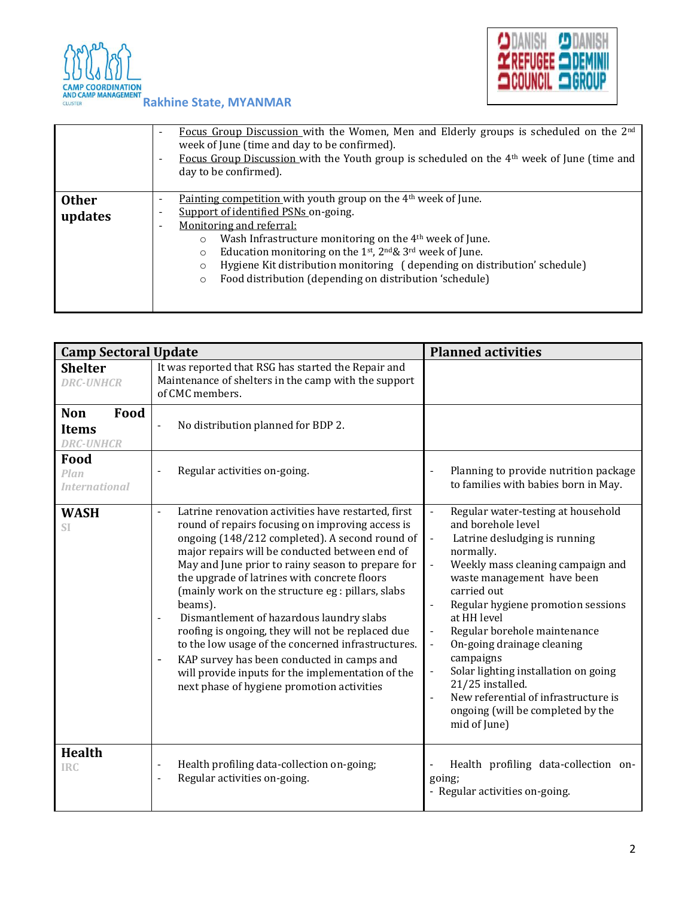



|                         | Focus Group Discussion with the Women, Men and Elderly groups is scheduled on the 2 <sup>nd</sup><br>$\overline{\phantom{a}}$<br>week of June (time and day to be confirmed).<br>Focus Group Discussion with the Youth group is scheduled on the $4th$ week of June (time and<br>$\overline{\phantom{a}}$<br>day to be confirmed).                                                                                                                                                                                                                                |
|-------------------------|-------------------------------------------------------------------------------------------------------------------------------------------------------------------------------------------------------------------------------------------------------------------------------------------------------------------------------------------------------------------------------------------------------------------------------------------------------------------------------------------------------------------------------------------------------------------|
| <b>Other</b><br>updates | Painting competition with youth group on the 4 <sup>th</sup> week of June.<br>$\overline{\phantom{a}}$<br>Support of identified PSNs on-going.<br>$\overline{\phantom{a}}$<br>Monitoring and referral:<br>$\overline{\phantom{a}}$<br>Wash Infrastructure monitoring on the 4 <sup>th</sup> week of June.<br>$\circ$<br>Education monitoring on the 1st, $2^{nd}\& 3^{rd}$ week of June.<br>$\circ$<br>Hygiene Kit distribution monitoring (depending on distribution' schedule)<br>$\circ$<br>Food distribution (depending on distribution 'schedule)<br>$\circ$ |

| <b>Camp Sectoral Update</b>                            |                                                                                                                                                                                                                                                                                                                                                                                                                                                                                                                                                                                                                                                                                                                                              | <b>Planned activities</b>                                                                                                                                                                                                                                                                                                                                                                                                                                                                                                                                                                               |  |  |  |
|--------------------------------------------------------|----------------------------------------------------------------------------------------------------------------------------------------------------------------------------------------------------------------------------------------------------------------------------------------------------------------------------------------------------------------------------------------------------------------------------------------------------------------------------------------------------------------------------------------------------------------------------------------------------------------------------------------------------------------------------------------------------------------------------------------------|---------------------------------------------------------------------------------------------------------------------------------------------------------------------------------------------------------------------------------------------------------------------------------------------------------------------------------------------------------------------------------------------------------------------------------------------------------------------------------------------------------------------------------------------------------------------------------------------------------|--|--|--|
| <b>Shelter</b><br><b>DRC-UNHCR</b>                     | It was reported that RSG has started the Repair and<br>Maintenance of shelters in the camp with the support<br>of CMC members.                                                                                                                                                                                                                                                                                                                                                                                                                                                                                                                                                                                                               |                                                                                                                                                                                                                                                                                                                                                                                                                                                                                                                                                                                                         |  |  |  |
| Food<br><b>Non</b><br><b>Items</b><br><b>DRC-UNHCR</b> | No distribution planned for BDP 2.<br>$\overline{\phantom{0}}$                                                                                                                                                                                                                                                                                                                                                                                                                                                                                                                                                                                                                                                                               |                                                                                                                                                                                                                                                                                                                                                                                                                                                                                                                                                                                                         |  |  |  |
| Food<br>Plan<br><b>International</b>                   | Regular activities on-going.                                                                                                                                                                                                                                                                                                                                                                                                                                                                                                                                                                                                                                                                                                                 | Planning to provide nutrition package<br>to families with babies born in May.                                                                                                                                                                                                                                                                                                                                                                                                                                                                                                                           |  |  |  |
| <b>WASH</b><br>SI                                      | Latrine renovation activities have restarted, first<br>$\overline{\phantom{0}}$<br>round of repairs focusing on improving access is<br>ongoing (148/212 completed). A second round of<br>major repairs will be conducted between end of<br>May and June prior to rainy season to prepare for<br>the upgrade of latrines with concrete floors<br>(mainly work on the structure eg : pillars, slabs<br>beams).<br>Dismantlement of hazardous laundry slabs<br>$\overline{a}$<br>roofing is ongoing, they will not be replaced due<br>to the low usage of the concerned infrastructures.<br>KAP survey has been conducted in camps and<br>÷,<br>will provide inputs for the implementation of the<br>next phase of hygiene promotion activities | Regular water-testing at household<br>$\overline{\phantom{a}}$<br>and borehole level<br>$\blacksquare$<br>Latrine desludging is running<br>normally.<br>Weekly mass cleaning campaign and<br>$\frac{1}{2}$<br>waste management have been<br>carried out<br>Regular hygiene promotion sessions<br>at HH level<br>Regular borehole maintenance<br>$\overline{\phantom{a}}$<br>On-going drainage cleaning<br>$\Box$<br>campaigns<br>Solar lighting installation on going<br>$\frac{1}{2}$<br>21/25 installed.<br>New referential of infrastructure is<br>ongoing (will be completed by the<br>mid of June) |  |  |  |
| <b>Health</b><br><b>IRC</b>                            | Health profiling data-collection on-going;<br>$\overline{a}$<br>Regular activities on-going.<br>$\overline{a}$                                                                                                                                                                                                                                                                                                                                                                                                                                                                                                                                                                                                                               | Health profiling data-collection on-<br>going;<br>- Regular activities on-going.                                                                                                                                                                                                                                                                                                                                                                                                                                                                                                                        |  |  |  |